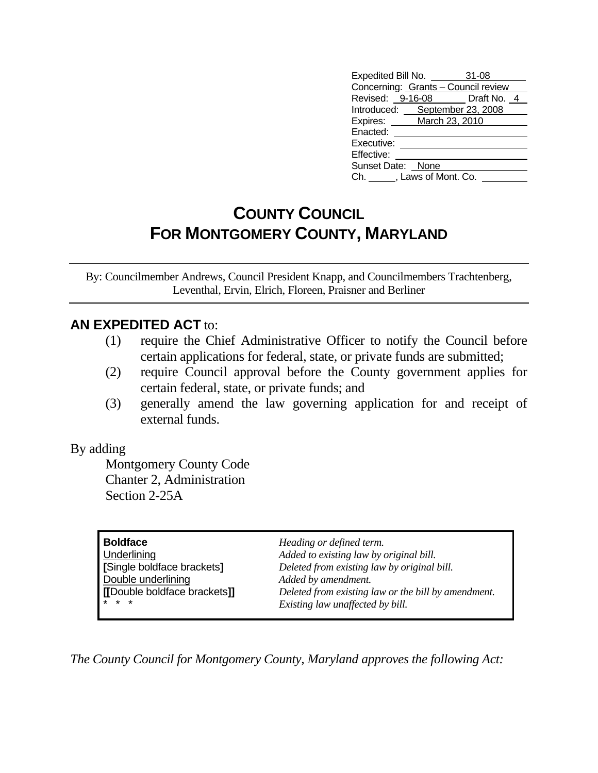| Expedited Bill No. 31-08            |                                |  |  |  |
|-------------------------------------|--------------------------------|--|--|--|
| Concerning: Grants - Council review |                                |  |  |  |
|                                     | Revised: 9-16-08 Draft No. 4   |  |  |  |
|                                     | Introduced: September 23, 2008 |  |  |  |
| Expires: March 23, 2010             |                                |  |  |  |
| Enacted:                            |                                |  |  |  |
| Executive:                          |                                |  |  |  |
| Effective:                          |                                |  |  |  |
| Sunset Date: None                   |                                |  |  |  |
| Ch. J. Laws of Mont. Co.            |                                |  |  |  |

## **COUNTY COUNCIL FOR MONTGOMERY COUNTY, MARYLAND**

By: Councilmember Andrews, Council President Knapp, and Councilmembers Trachtenberg, Leventhal, Ervin, Elrich, Floreen, Praisner and Berliner

## **AN EXPEDITED ACT** to:

- (1) require the Chief Administrative Officer to notify the Council before certain applications for federal, state, or private funds are submitted;
- (2) require Council approval before the County government applies for certain federal, state, or private funds; and
- (3) generally amend the law governing application for and receipt of external funds.

## By adding

 Montgomery County Code Chanter 2, Administration Section 2-25A

| <b>Boldface</b>                           | Heading or defined term.                                                                |
|-------------------------------------------|-----------------------------------------------------------------------------------------|
| Underlining<br>[Single boldface brackets] | Added to existing law by original bill.<br>Deleted from existing law by original bill.  |
| Double underlining                        | Added by amendment.                                                                     |
| [[Double boldface brackets]]<br>* * *     | Deleted from existing law or the bill by amendment.<br>Existing law unaffected by bill. |
|                                           |                                                                                         |

*The County Council for Montgomery County, Maryland approves the following Act:*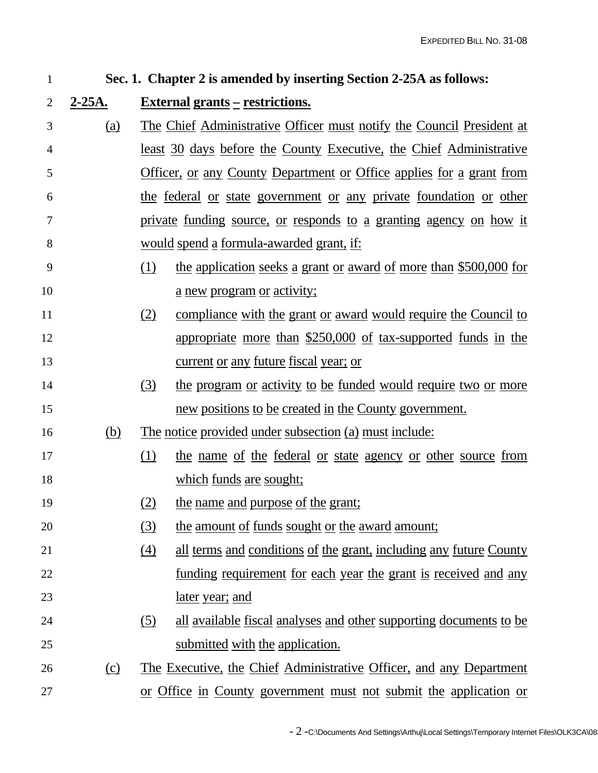| $\mathbf{1}$   | Sec. 1. Chapter 2 is amended by inserting Section 2-25A as follows: |                                                                            |                                                                             |  |
|----------------|---------------------------------------------------------------------|----------------------------------------------------------------------------|-----------------------------------------------------------------------------|--|
| 2              | $2-25A.$                                                            | <u>External grants – restrictions.</u>                                     |                                                                             |  |
| 3              | (a)                                                                 | The Chief Administrative Officer must notify the Council President at      |                                                                             |  |
| $\overline{4}$ |                                                                     | <u>least 30 days before the County Executive, the Chief Administrative</u> |                                                                             |  |
| 5              |                                                                     |                                                                            | <u>Officer, or any County Department or Office applies for a grant from</u> |  |
| 6              |                                                                     | the federal or state government or any private foundation or other         |                                                                             |  |
| 7              |                                                                     | private funding source, or responds to a granting agency on how it         |                                                                             |  |
| 8              |                                                                     | would spend a formula-awarded grant, if:                                   |                                                                             |  |
| 9              |                                                                     | <u>(1)</u>                                                                 | the application seeks a grant or award of more than \$500,000 for           |  |
| 10             |                                                                     |                                                                            | a new program or activity;                                                  |  |
| 11             |                                                                     | (2)                                                                        | compliance with the grant or award would require the Council to             |  |
| 12             |                                                                     |                                                                            | appropriate more than \$250,000 of tax-supported funds in the               |  |
| 13             |                                                                     |                                                                            | <u>current or any future fiscal year; or</u>                                |  |
| 14             |                                                                     | (3)                                                                        | the program or activity to be funded would require two or more              |  |
| 15             |                                                                     |                                                                            | new positions to be created in the County government.                       |  |
| 16             | (b)                                                                 | <u>The notice provided under subsection (a) must include:</u>              |                                                                             |  |
| 17             |                                                                     | (1)                                                                        | the name of the federal or state agency or other source from                |  |
| 18             |                                                                     |                                                                            | which funds are sought;                                                     |  |
| 19             |                                                                     |                                                                            | <u>(2) the name and purpose of the grant;</u>                               |  |
| 20             |                                                                     | (3)                                                                        | the amount of funds sought or the award amount;                             |  |
| 21             |                                                                     | (4)                                                                        | all terms and conditions of the grant, including any future County          |  |
| 22             |                                                                     |                                                                            | funding requirement for each year the grant is received and any             |  |
| 23             |                                                                     |                                                                            | <u>later year; and</u>                                                      |  |
| 24             |                                                                     | <u>(5)</u>                                                                 | <u>all available fiscal analyses and other supporting documents to be</u>   |  |
| 25             |                                                                     |                                                                            | submitted with the application.                                             |  |
| 26             | (c)                                                                 |                                                                            | The Executive, the Chief Administrative Officer, and any Department         |  |
| 27             |                                                                     |                                                                            | or Office in County government must not submit the application or           |  |